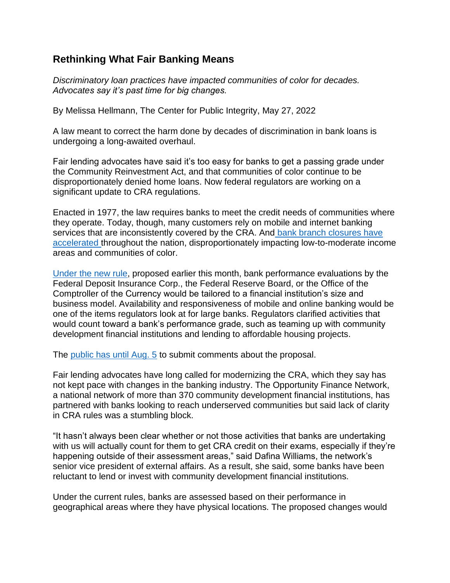## **Rethinking What Fair Banking Means**

*Discriminatory loan practices have impacted communities of color for decades. Advocates say it's past time for big changes.*

By Melissa Hellmann, The Center for Public Integrity, May 27, 2022

A law meant to correct the harm done by decades of discrimination in bank loans is undergoing a long-awaited overhaul.

Fair lending advocates have said it's too easy for banks to get a passing grade under the Community Reinvestment Act, and that communities of color continue to be disproportionately denied home loans. Now federal regulators are working on a significant update to CRA regulations.

Enacted in 1977, the law requires banks to meet the credit needs of communities where they operate. Today, though, many customers rely on mobile and internet banking services that are inconsistently covered by the CRA. And bank branch closures have [accelerated](https://publicintegrity.org/inequality-poverty-opportunity/bank-branch-closure-rate-doubled-during-pandemic/) throughout the nation, disproportionately impacting low-to-moderate income areas and communities of color.

[Under the new rule,](https://www.fdic.gov/news/board-matters/2022/2022-05-05-notice-dis-a-fr.pdf) proposed earlier this month, bank performance evaluations by the Federal Deposit Insurance Corp., the Federal Reserve Board, or the Office of the Comptroller of the Currency would be tailored to a financial institution's size and business model. Availability and responsiveness of mobile and online banking would be one of the items regulators look at for large banks. Regulators clarified activities that would count toward a bank's performance grade, such as teaming up with community development financial institutions and lending to affordable housing projects.

The [public has until Aug. 5](https://www.federalreserve.gov/apps/foia/proposedregs.aspx) to submit comments about the proposal.

Fair lending advocates have long called for modernizing the CRA, which they say has not kept pace with changes in the banking industry. The Opportunity Finance Network, a national network of more than 370 community development financial institutions, has partnered with banks looking to reach underserved communities but said lack of clarity in CRA rules was a stumbling block.

"It hasn't always been clear whether or not those activities that banks are undertaking with us will actually count for them to get CRA credit on their exams, especially if they're happening outside of their assessment areas," said Dafina Williams, the network's senior vice president of external affairs. As a result, she said, some banks have been reluctant to lend or invest with community development financial institutions.

Under the current rules, banks are assessed based on their performance in geographical areas where they have physical locations. The proposed changes would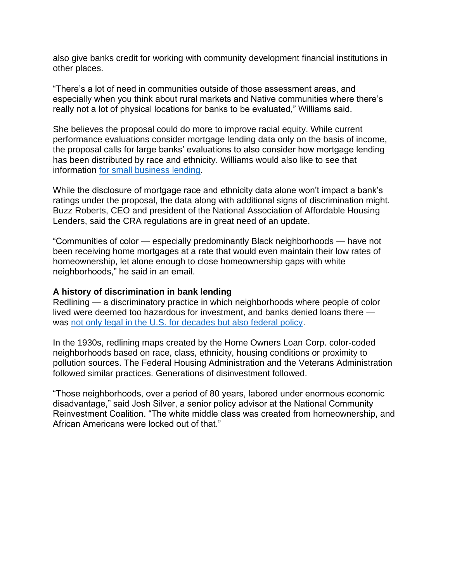also give banks credit for working with community development financial institutions in other places.

"There's a lot of need in communities outside of those assessment areas, and especially when you think about rural markets and Native communities where there's really not a lot of physical locations for banks to be evaluated," Williams said.

She believes the proposal could do more to improve racial equity. While current performance evaluations consider mortgage lending data only on the basis of income, the proposal calls for large banks' evaluations to also consider how mortgage lending has been distributed by race and ethnicity. Williams would also like to see that information [for small business lending.](https://publicintegrity.org/inequality-poverty-opportunity/the-heist/small-business-loans-unequal-data-battle/)

While the disclosure of mortgage race and ethnicity data alone won't impact a bank's ratings under the proposal, the data along with additional signs of discrimination might. Buzz Roberts, CEO and president of the National Association of Affordable Housing Lenders, said the CRA regulations are in great need of an update.

"Communities of color — especially predominantly Black neighborhoods — have not been receiving home mortgages at a rate that would even maintain their low rates of homeownership, let alone enough to close homeownership gaps with white neighborhoods," he said in an email.

## **A history of discrimination in bank lending**

Redlining — a discriminatory practice in which neighborhoods where people of color lived were deemed too hazardous for investment, and banks denied loans there was [not only legal in the U.S. for decades but also federal policy.](https://publicintegrity.org/inequality-poverty-opportunity/the-heist/racist-history-wealth-gap-redlining-maps/)

In the 1930s, redlining maps created by the Home Owners Loan Corp. color-coded neighborhoods based on race, class, ethnicity, housing conditions or proximity to pollution sources. The Federal Housing Administration and the Veterans Administration followed similar practices. Generations of disinvestment followed.

"Those neighborhoods, over a period of 80 years, labored under enormous economic disadvantage," said Josh Silver, a senior policy advisor at the National Community Reinvestment Coalition. "The white middle class was created from homeownership, and African Americans were locked out of that."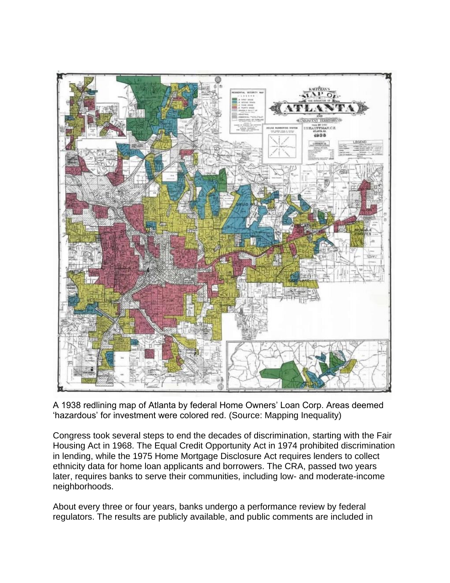

A 1938 redlining map of Atlanta by federal Home Owners' Loan Corp. Areas deemed 'hazardous' for investment were colored red. (Source: Mapping Inequality)

Congress took several steps to end the decades of discrimination, starting with the Fair Housing Act in 1968. The Equal Credit Opportunity Act in 1974 prohibited discrimination in lending, while the 1975 Home Mortgage Disclosure Act requires lenders to collect ethnicity data for home loan applicants and borrowers. The CRA, passed two years later, requires banks to serve their communities, including low- and moderate-income neighborhoods.

About every three or four years, banks undergo a performance review by federal regulators. The results are publicly available, and public comments are included in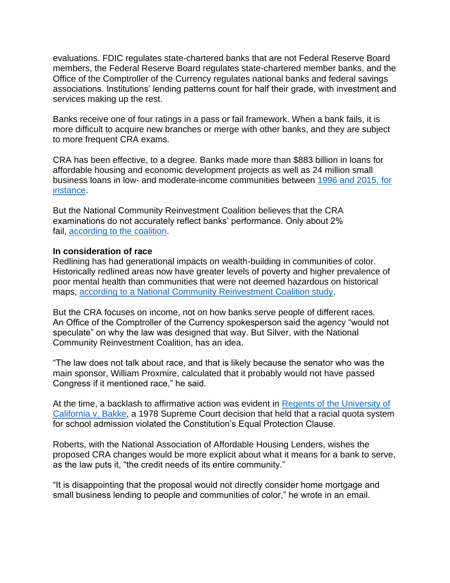evaluations. FDIC regulates state-chartered banks that are not Federal Reserve Board members, the Federal Reserve Board regulates state-chartered member banks, and the Office of the Comptroller of the Currency regulates national banks and federal savings associations. Institutions' lending patterns count for half their grade, with investment and services making up the rest.

Banks receive one of four ratings in a pass or fail framework. When a bank fails, it is more difficult to acquire new branches or merge with other banks, and they are subject to more frequent CRA exams.

CRA has been effective, to a degree. Banks made more than \$883 billion in loans for affordable housing and economic development projects as well as 24 million small business loans in low- and moderate-income communities between [1996 and 2015, for](https://ncrc.org/ncrc-celebrates-39th-anniversary-of-the-signing-of-the-community-reinvestment-act-2/)  [instance.](https://ncrc.org/ncrc-celebrates-39th-anniversary-of-the-signing-of-the-community-reinvestment-act-2/)

But the National Community Reinvestment Coalition believes that the CRA examinations do not accurately reflect banks' performance. Only about 2% fail, [according to the coalition.](https://ncrc.org/principles-for-cra-regulatory-reform/)

## **In consideration of race**

Redlining has had generational impacts on wealth-building in communities of color. Historically redlined areas now have greater levels of poverty and higher prevalence of poor mental health than communities that were not deemed hazardous on historical maps, [according to a National Community Reinvestment Coalition study.](https://ncrc.org/holc-health/)

But the CRA focuses on income, not on how banks serve people of different races. An Office of the Comptroller of the Currency spokesperson said the agency "would not speculate" on why the law was designed that way. But Silver, with the National Community Reinvestment Coalition, has an idea.

"The law does not talk about race, and that is likely because the senator who was the main sponsor, William Proxmire, calculated that it probably would not have passed Congress if it mentioned race," he said.

At the time, a backlash to affirmative action was evident in [Regents of the University of](https://www.law.cornell.edu/supremecourt/text/438/265%26amp)  [California v. Bakke,](https://www.law.cornell.edu/supremecourt/text/438/265%26amp) a 1978 Supreme Court decision that held that a racial quota system for school admission violated the Constitution's Equal Protection Clause.

Roberts, with the National Association of Affordable Housing Lenders, wishes the proposed CRA changes would be more explicit about what it means for a bank to serve, as the law puts it, "the credit needs of its entire community."

"It is disappointing that the proposal would not directly consider home mortgage and small business lending to people and communities of color," he wrote in an email.